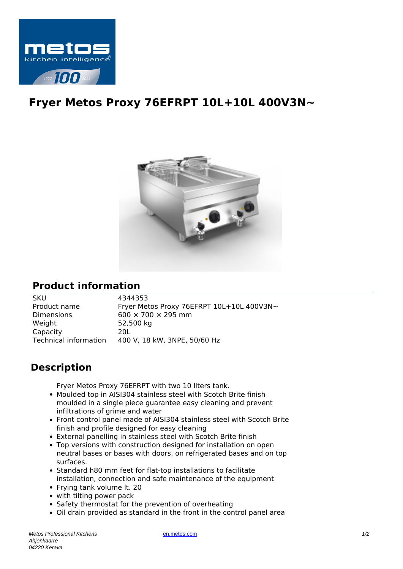

## **Fryer Metos Proxy 76EFRPT 10L+10L 400V3N~**



## **Product information**

SKU 4344353<br>Product name Fryer Met Dimensions 600  $\times$  700  $\times$  295 mm Weight 52,500 kg Capacity 20L

Fryer Metos Proxy 76EFRPT 10L+10L 400V3N~ Technical information 400 V, 18 kW, 3NPE, 50/60 Hz

## **Description**

Fryer Metos Proxy 76EFRPT with two 10 liters tank.

- Moulded top in AISI304 stainless steel with Scotch Brite finish moulded in a single piece guarantee easy cleaning and prevent infiltrations of grime and water
- Front control panel made of AISI304 stainless steel with Scotch Brite finish and profile designed for easy cleaning
- External panelling in stainless steel with Scotch Brite finish
- Top versions with construction designed for installation on open neutral bases or bases with doors, on refrigerated bases and on top surfaces.
- Standard h80 mm feet for flat-top installations to facilitate installation, connection and safe maintenance of the equipment
- Frying tank volume lt. 20
- with tilting power pack
- Safety thermostat for the prevention of overheating
- Oil drain provided as standard in the front in the control panel area